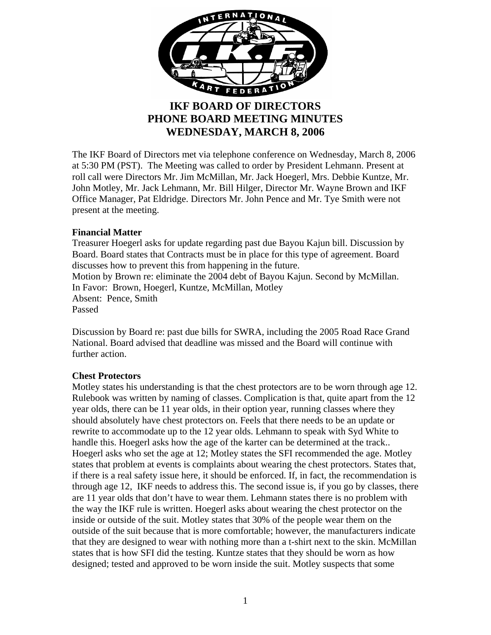

# **IKF BOARD OF DIRECTORS PHONE BOARD MEETING MINUTES WEDNESDAY, MARCH 8, 2006**

The IKF Board of Directors met via telephone conference on Wednesday, March 8, 2006 at 5:30 PM (PST). The Meeting was called to order by President Lehmann. Present at roll call were Directors Mr. Jim McMillan, Mr. Jack Hoegerl, Mrs. Debbie Kuntze, Mr. John Motley, Mr. Jack Lehmann, Mr. Bill Hilger, Director Mr. Wayne Brown and IKF Office Manager, Pat Eldridge. Directors Mr. John Pence and Mr. Tye Smith were not present at the meeting.

## **Financial Matter**

Treasurer Hoegerl asks for update regarding past due Bayou Kajun bill. Discussion by Board. Board states that Contracts must be in place for this type of agreement. Board discusses how to prevent this from happening in the future. Motion by Brown re: eliminate the 2004 debt of Bayou Kajun. Second by McMillan. In Favor: Brown, Hoegerl, Kuntze, McMillan, Motley Absent: Pence, Smith Passed

Discussion by Board re: past due bills for SWRA, including the 2005 Road Race Grand National. Board advised that deadline was missed and the Board will continue with further action.

# **Chest Protectors**

Motley states his understanding is that the chest protectors are to be worn through age 12. Rulebook was written by naming of classes. Complication is that, quite apart from the 12 year olds, there can be 11 year olds, in their option year, running classes where they should absolutely have chest protectors on. Feels that there needs to be an update or rewrite to accommodate up to the 12 year olds. Lehmann to speak with Syd White to handle this. Hoegerl asks how the age of the karter can be determined at the track.. Hoegerl asks who set the age at 12; Motley states the SFI recommended the age. Motley states that problem at events is complaints about wearing the chest protectors. States that, if there is a real safety issue here, it should be enforced. If, in fact, the recommendation is through age 12, IKF needs to address this. The second issue is, if you go by classes, there are 11 year olds that don't have to wear them. Lehmann states there is no problem with the way the IKF rule is written. Hoegerl asks about wearing the chest protector on the inside or outside of the suit. Motley states that 30% of the people wear them on the outside of the suit because that is more comfortable; however, the manufacturers indicate that they are designed to wear with nothing more than a t-shirt next to the skin. McMillan states that is how SFI did the testing. Kuntze states that they should be worn as how designed; tested and approved to be worn inside the suit. Motley suspects that some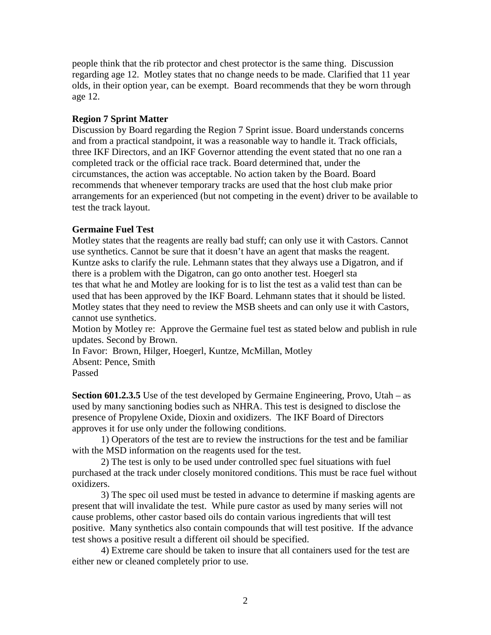people think that the rib protector and chest protector is the same thing. Discussion regarding age 12. Motley states that no change needs to be made. Clarified that 11 year olds, in their option year, can be exempt. Board recommends that they be worn through age 12.

## **Region 7 Sprint Matter**

Discussion by Board regarding the Region 7 Sprint issue. Board understands concerns and from a practical standpoint, it was a reasonable way to handle it. Track officials, three IKF Directors, and an IKF Governor attending the event stated that no one ran a completed track or the official race track. Board determined that, under the circumstances, the action was acceptable. No action taken by the Board. Board recommends that whenever temporary tracks are used that the host club make prior arrangements for an experienced (but not competing in the event) driver to be available to test the track layout.

## **Germaine Fuel Test**

Motley states that the reagents are really bad stuff; can only use it with Castors. Cannot use synthetics. Cannot be sure that it doesn't have an agent that masks the reagent. Kuntze asks to clarify the rule. Lehmann states that they always use a Digatron, and if there is a problem with the Digatron, can go onto another test. Hoegerl sta tes that what he and Motley are looking for is to list the test as a valid test than can be used that has been approved by the IKF Board. Lehmann states that it should be listed. Motley states that they need to review the MSB sheets and can only use it with Castors, cannot use synthetics.

Motion by Motley re: Approve the Germaine fuel test as stated below and publish in rule updates. Second by Brown.

In Favor: Brown, Hilger, Hoegerl, Kuntze, McMillan, Motley Absent: Pence, Smith Passed

**Section 601.2.3.5** Use of the test developed by Germaine Engineering, Provo, Utah – as used by many sanctioning bodies such as NHRA. This test is designed to disclose the presence of Propylene Oxide, Dioxin and oxidizers. The IKF Board of Directors approves it for use only under the following conditions.

1) Operators of the test are to review the instructions for the test and be familiar with the MSD information on the reagents used for the test.

2) The test is only to be used under controlled spec fuel situations with fuel purchased at the track under closely monitored conditions. This must be race fuel without oxidizers.

3) The spec oil used must be tested in advance to determine if masking agents are present that will invalidate the test. While pure castor as used by many series will not cause problems, other castor based oils do contain various ingredients that will test positive. Many synthetics also contain compounds that will test positive. If the advance test shows a positive result a different oil should be specified.

4) Extreme care should be taken to insure that all containers used for the test are either new or cleaned completely prior to use.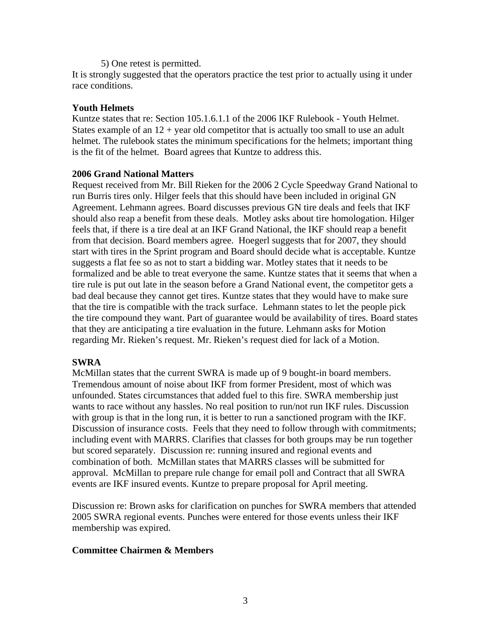#### 5) One retest is permitted.

It is strongly suggested that the operators practice the test prior to actually using it under race conditions.

## **Youth Helmets**

Kuntze states that re: Section 105.1.6.1.1 of the 2006 IKF Rulebook - Youth Helmet. States example of an  $12 +$  year old competitor that is actually too small to use an adult helmet. The rulebook states the minimum specifications for the helmets; important thing is the fit of the helmet. Board agrees that Kuntze to address this.

## **2006 Grand National Matters**

Request received from Mr. Bill Rieken for the 2006 2 Cycle Speedway Grand National to run Burris tires only. Hilger feels that this should have been included in original GN Agreement. Lehmann agrees. Board discusses previous GN tire deals and feels that IKF should also reap a benefit from these deals. Motley asks about tire homologation. Hilger feels that, if there is a tire deal at an IKF Grand National, the IKF should reap a benefit from that decision. Board members agree. Hoegerl suggests that for 2007, they should start with tires in the Sprint program and Board should decide what is acceptable. Kuntze suggests a flat fee so as not to start a bidding war. Motley states that it needs to be formalized and be able to treat everyone the same. Kuntze states that it seems that when a tire rule is put out late in the season before a Grand National event, the competitor gets a bad deal because they cannot get tires. Kuntze states that they would have to make sure that the tire is compatible with the track surface. Lehmann states to let the people pick the tire compound they want. Part of guarantee would be availability of tires. Board states that they are anticipating a tire evaluation in the future. Lehmann asks for Motion regarding Mr. Rieken's request. Mr. Rieken's request died for lack of a Motion.

# **SWRA**

McMillan states that the current SWRA is made up of 9 bought-in board members. Tremendous amount of noise about IKF from former President, most of which was unfounded. States circumstances that added fuel to this fire. SWRA membership just wants to race without any hassles. No real position to run/not run IKF rules. Discussion with group is that in the long run, it is better to run a sanctioned program with the IKF. Discussion of insurance costs. Feels that they need to follow through with commitments; including event with MARRS. Clarifies that classes for both groups may be run together but scored separately. Discussion re: running insured and regional events and combination of both. McMillan states that MARRS classes will be submitted for approval. McMillan to prepare rule change for email poll and Contract that all SWRA events are IKF insured events. Kuntze to prepare proposal for April meeting.

Discussion re: Brown asks for clarification on punches for SWRA members that attended 2005 SWRA regional events. Punches were entered for those events unless their IKF membership was expired.

# **Committee Chairmen & Members**